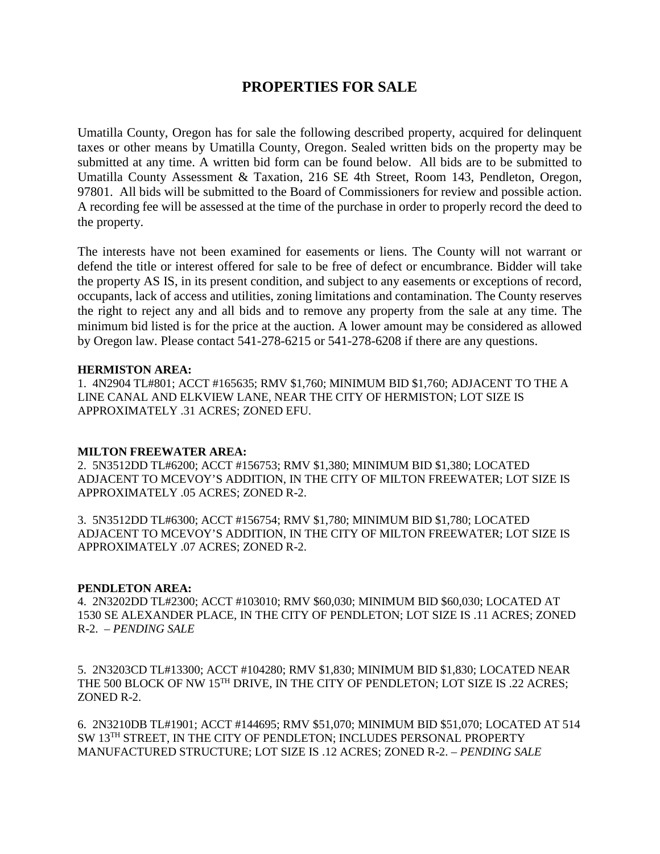# **PROPERTIES FOR SALE**

Umatilla County, Oregon has for sale the following described property, acquired for delinquent taxes or other means by Umatilla County, Oregon. Sealed written bids on the property may be submitted at any time. A written bid form can be found below. All bids are to be submitted to Umatilla County Assessment & Taxation, 216 SE 4th Street, Room 143, Pendleton, Oregon, 97801. All bids will be submitted to the Board of Commissioners for review and possible action. A recording fee will be assessed at the time of the purchase in order to properly record the deed to the property.

The interests have not been examined for easements or liens. The County will not warrant or defend the title or interest offered for sale to be free of defect or encumbrance. Bidder will take the property AS IS, in its present condition, and subject to any easements or exceptions of record, occupants, lack of access and utilities, zoning limitations and contamination. The County reserves the right to reject any and all bids and to remove any property from the sale at any time. The minimum bid listed is for the price at the auction. A lower amount may be considered as allowed by Oregon law. Please contact 541-278-6215 or 541-278-6208 if there are any questions.

## **HERMISTON AREA:**

1. 4N2904 TL#801; ACCT #165635; RMV \$1,760; MINIMUM BID \$1,760; ADJACENT TO THE A LINE CANAL AND ELKVIEW LANE, NEAR THE CITY OF HERMISTON; LOT SIZE IS APPROXIMATELY .31 ACRES; ZONED EFU.

#### **MILTON FREEWATER AREA:**

2. 5N3512DD TL#6200; ACCT #156753; RMV \$1,380; MINIMUM BID \$1,380; LOCATED ADJACENT TO MCEVOY'S ADDITION, IN THE CITY OF MILTON FREEWATER; LOT SIZE IS APPROXIMATELY .05 ACRES; ZONED R-2.

3. 5N3512DD TL#6300; ACCT #156754; RMV \$1,780; MINIMUM BID \$1,780; LOCATED ADJACENT TO MCEVOY'S ADDITION, IN THE CITY OF MILTON FREEWATER; LOT SIZE IS APPROXIMATELY .07 ACRES; ZONED R-2.

#### **PENDLETON AREA:**

4. 2N3202DD TL#2300; ACCT #103010; RMV \$60,030; MINIMUM BID \$60,030; LOCATED AT 1530 SE ALEXANDER PLACE, IN THE CITY OF PENDLETON; LOT SIZE IS .11 ACRES; ZONED R-2. – *PENDING SALE*

5. 2N3203CD TL#13300; ACCT #104280; RMV \$1,830; MINIMUM BID \$1,830; LOCATED NEAR THE 500 BLOCK OF NW 15<sup>TH</sup> DRIVE, IN THE CITY OF PENDLETON; LOT SIZE IS .22 ACRES; ZONED R-2.

6. 2N3210DB TL#1901; ACCT #144695; RMV \$51,070; MINIMUM BID \$51,070; LOCATED AT 514 SW 13TH STREET, IN THE CITY OF PENDLETON; INCLUDES PERSONAL PROPERTY MANUFACTURED STRUCTURE; LOT SIZE IS .12 ACRES; ZONED R-2. – *PENDING SALE*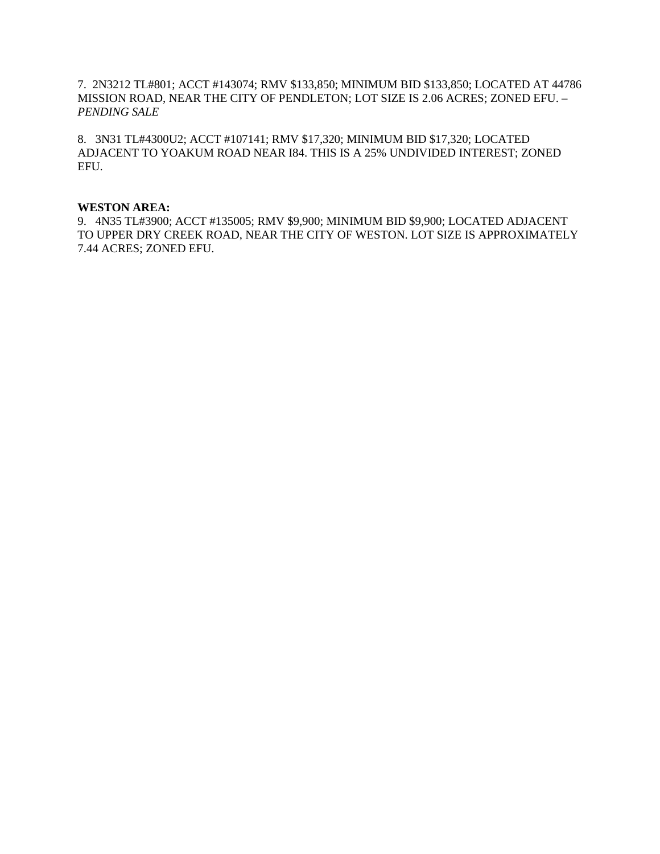## 7. 2N3212 TL#801; ACCT #143074; RMV \$133,850; MINIMUM BID \$133,850; LOCATED AT 44786 MISSION ROAD, NEAR THE CITY OF PENDLETON; LOT SIZE IS 2.06 ACRES; ZONED EFU. – *PENDING SALE*

8. 3N31 TL#4300U2; ACCT #107141; RMV \$17,320; MINIMUM BID \$17,320; LOCATED ADJACENT TO YOAKUM ROAD NEAR I84. THIS IS A 25% UNDIVIDED INTEREST; ZONED EFU.

#### **WESTON AREA:**

9. 4N35 TL#3900; ACCT #135005; RMV \$9,900; MINIMUM BID \$9,900; LOCATED ADJACENT TO UPPER DRY CREEK ROAD, NEAR THE CITY OF WESTON. LOT SIZE IS APPROXIMATELY 7.44 ACRES; ZONED EFU.